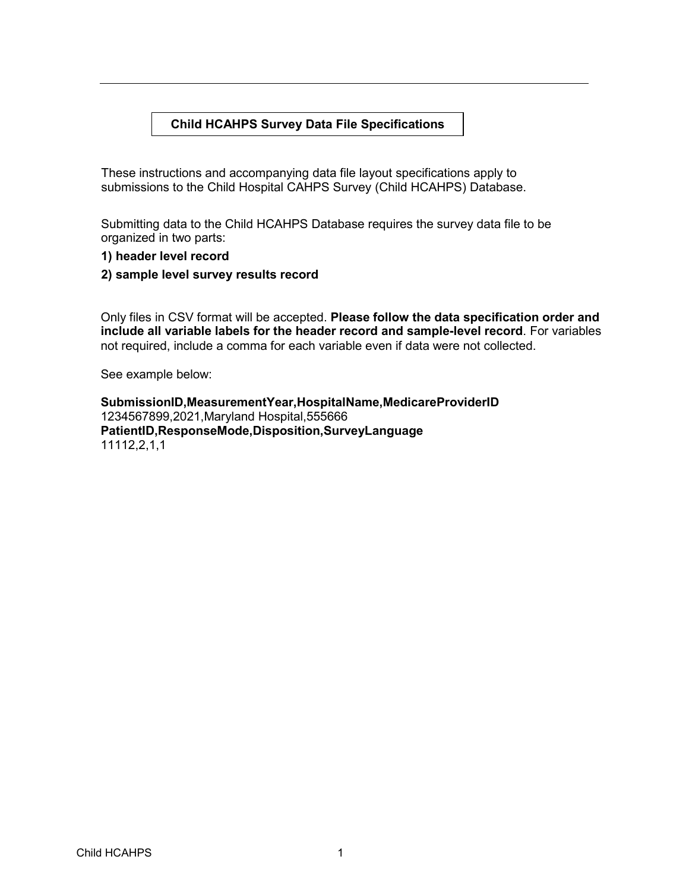## **Child HCAHPS Survey Data File Specifications**

These instructions and accompanying data file layout specifications apply to submissions to the Child Hospital CAHPS Survey (Child HCAHPS) Database.

Submitting data to the Child HCAHPS Database requires the survey data file to be organized in two parts:

- **1) header level record**
- **2) sample level survey results record**

Only files in CSV format will be accepted. **Please follow the data specification order and include all variable labels for the header record and sample-level record**. For variables not required, include a comma for each variable even if data were not collected.

See example below:

**SubmissionID,MeasurementYear,HospitalName,MedicareProviderID** 1234567899,2021,Maryland Hospital,555666 **PatientID,ResponseMode,Disposition,SurveyLanguage** 11112,2,1,1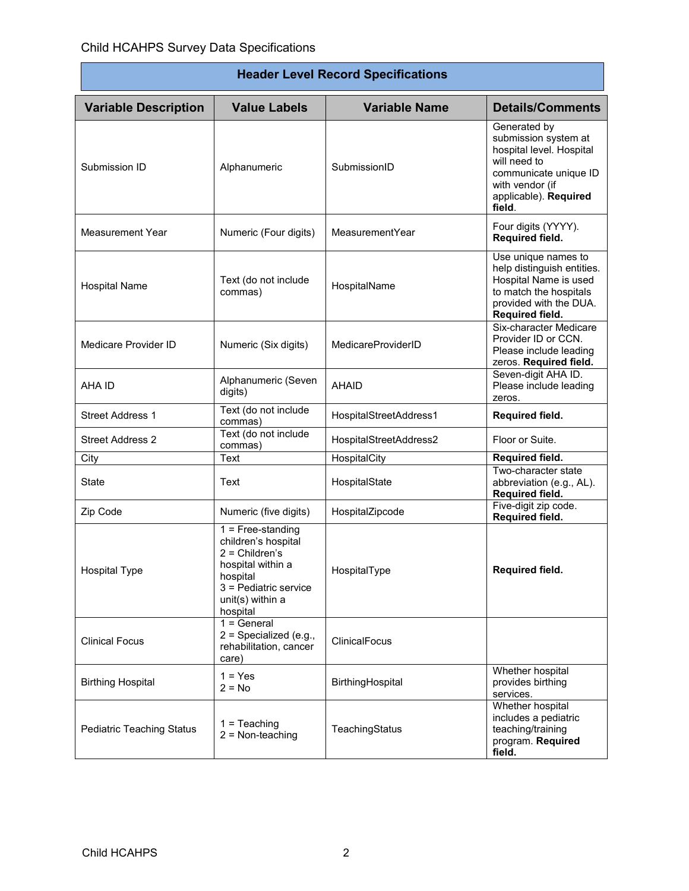| <b>Header Level Record Specifications</b> |                                                                                                                                                          |                        |                                                                                                                                                                 |  |
|-------------------------------------------|----------------------------------------------------------------------------------------------------------------------------------------------------------|------------------------|-----------------------------------------------------------------------------------------------------------------------------------------------------------------|--|
| <b>Variable Description</b>               | <b>Value Labels</b>                                                                                                                                      | <b>Variable Name</b>   | <b>Details/Comments</b>                                                                                                                                         |  |
| Submission ID                             | Alphanumeric                                                                                                                                             | SubmissionID           | Generated by<br>submission system at<br>hospital level. Hospital<br>will need to<br>communicate unique ID<br>with vendor (if<br>applicable). Required<br>field. |  |
| <b>Measurement Year</b>                   | Numeric (Four digits)                                                                                                                                    | MeasurementYear        | Four digits (YYYY).<br>Required field.                                                                                                                          |  |
| <b>Hospital Name</b>                      | Text (do not include<br>commas)                                                                                                                          | HospitalName           | Use unique names to<br>help distinguish entities.<br>Hospital Name is used<br>to match the hospitals<br>provided with the DUA.<br>Required field.               |  |
| Medicare Provider ID                      | Numeric (Six digits)                                                                                                                                     | MedicareProviderID     | Six-character Medicare<br>Provider ID or CCN.<br>Please include leading<br>zeros. Required field.                                                               |  |
| AHA ID                                    | Alphanumeric (Seven<br>digits)                                                                                                                           | <b>AHAID</b>           | Seven-digit AHA ID.<br>Please include leading<br>zeros.                                                                                                         |  |
| <b>Street Address 1</b>                   | Text (do not include<br>commas)                                                                                                                          | HospitalStreetAddress1 | Required field.                                                                                                                                                 |  |
| <b>Street Address 2</b>                   | Text (do not include<br>commas)                                                                                                                          | HospitalStreetAddress2 | Floor or Suite.                                                                                                                                                 |  |
| City                                      | Text                                                                                                                                                     | HospitalCity           | Required field.                                                                                                                                                 |  |
| State                                     | Text                                                                                                                                                     | HospitalState          | Two-character state<br>abbreviation (e.g., AL).<br>Required field.                                                                                              |  |
| Zip Code                                  | Numeric (five digits)                                                                                                                                    | HospitalZipcode        | Five-digit zip code.<br>Required field.                                                                                                                         |  |
| <b>Hospital Type</b>                      | $1 =$ Free-standing<br>children's hospital<br>$2 =$ Children's<br>hospital within a<br>hospital<br>3 = Pediatric service<br>unit(s) within a<br>hospital | HospitalType           | <b>Required field.</b>                                                                                                                                          |  |
| <b>Clinical Focus</b>                     | $1 = General$<br>$2$ = Specialized (e.g.,<br>rehabilitation, cancer<br>care)                                                                             | ClinicalFocus          |                                                                                                                                                                 |  |
| <b>Birthing Hospital</b>                  | $1 = Yes$<br>$2 = No$                                                                                                                                    | BirthingHospital       | Whether hospital<br>provides birthing<br>services.                                                                                                              |  |
| Pediatric Teaching Status                 | $1 = Teaching$<br>$2 = Non-teaching$                                                                                                                     | TeachingStatus         | Whether hospital<br>includes a pediatric<br>teaching/training<br>program. Required<br>field.                                                                    |  |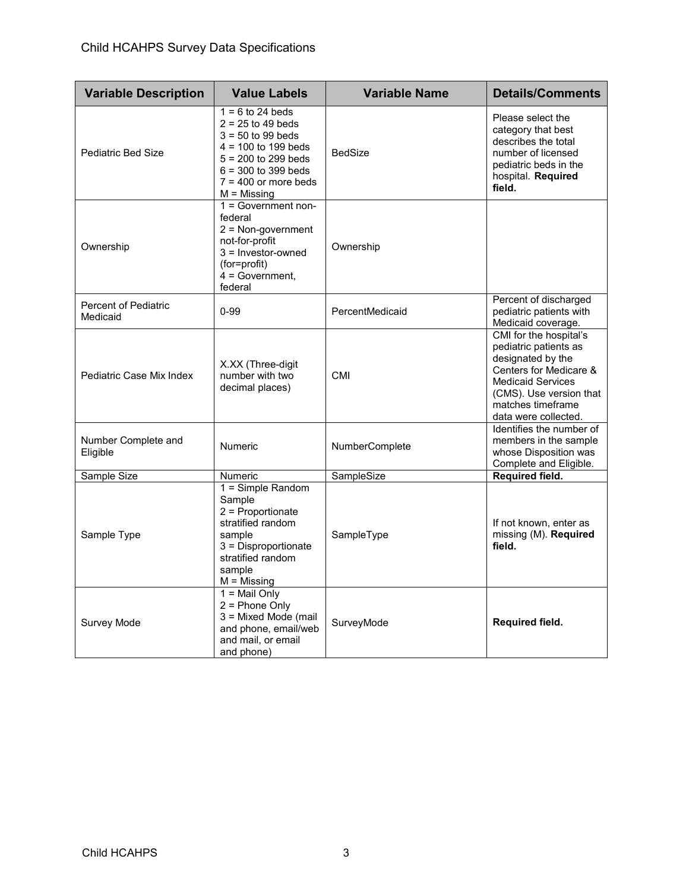| <b>Variable Description</b>             | <b>Value Labels</b>                                                                                                                                                                     | <b>Variable Name</b> | <b>Details/Comments</b>                                                                                                                                                                            |
|-----------------------------------------|-----------------------------------------------------------------------------------------------------------------------------------------------------------------------------------------|----------------------|----------------------------------------------------------------------------------------------------------------------------------------------------------------------------------------------------|
| <b>Pediatric Bed Size</b>               | $1 = 6$ to 24 beds<br>$2 = 25$ to 49 beds<br>$3 = 50$ to 99 beds<br>$4 = 100$ to 199 beds<br>$5 = 200$ to 299 beds<br>$6 = 300$ to 399 beds<br>$7 = 400$ or more beds<br>$M = M$ issing | <b>BedSize</b>       | Please select the<br>category that best<br>describes the total<br>number of licensed<br>pediatric beds in the<br>hospital. Required<br>field.                                                      |
| Ownership                               | $1 = Government non-$<br>federal<br>$2 = Non-government$<br>not-for-profit<br>$3 =$ Investor-owned<br>(for=profit)<br>$4 = Government$ ,<br>federal                                     | Ownership            |                                                                                                                                                                                                    |
| <b>Percent of Pediatric</b><br>Medicaid | $0 - 99$                                                                                                                                                                                | PercentMedicaid      | Percent of discharged<br>pediatric patients with<br>Medicaid coverage.                                                                                                                             |
| Pediatric Case Mix Index                | X.XX (Three-digit<br>number with two<br>decimal places)                                                                                                                                 | CMI                  | CMI for the hospital's<br>pediatric patients as<br>designated by the<br>Centers for Medicare &<br><b>Medicaid Services</b><br>(CMS). Use version that<br>matches timeframe<br>data were collected. |
| Number Complete and<br>Eligible         | <b>Numeric</b>                                                                                                                                                                          | NumberComplete       | Identifies the number of<br>members in the sample<br>whose Disposition was<br>Complete and Eligible.                                                                                               |
| Sample Size                             | <b>Numeric</b>                                                                                                                                                                          | SampleSize           | Required field.                                                                                                                                                                                    |
| Sample Type                             | $1 =$ Simple Random<br>Sample<br>$2$ = Proportionate<br>stratified random<br>sample<br>3 = Disproportionate<br>stratified random<br>sample<br>$M = M$ issing                            | SampleType           | If not known, enter as<br>missing (M). Required<br>field.                                                                                                                                          |
| Survey Mode                             | $1 =$ Mail Only<br>$2$ = Phone Only<br>3 = Mixed Mode (mail<br>and phone, email/web<br>and mail, or email<br>and phone)                                                                 | SurveyMode           | Required field.                                                                                                                                                                                    |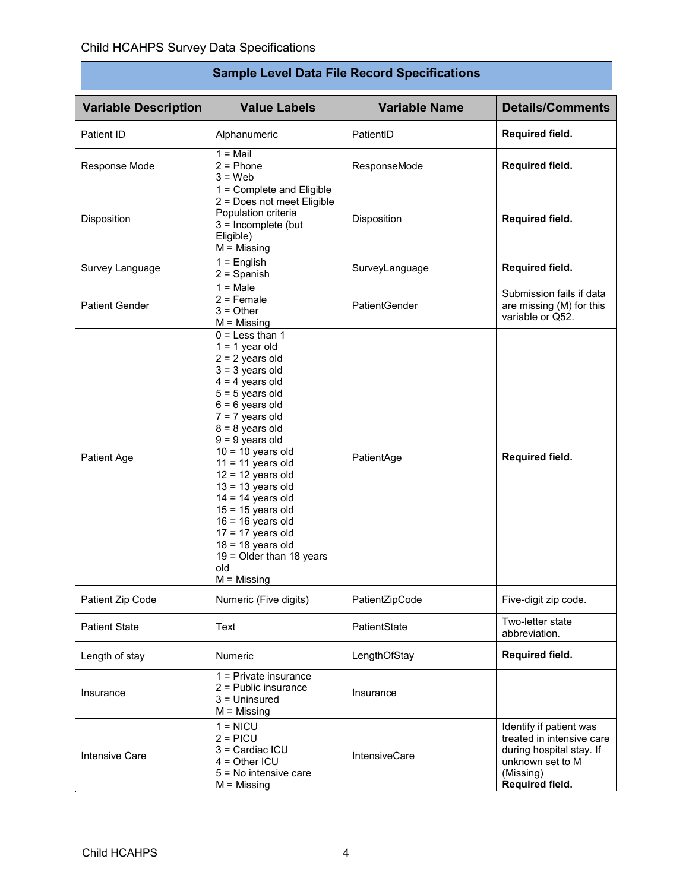Ē

| <b>Sample Level Data File Record Specifications</b> |                                                                                                                                                                                                                                                                                                                                                                                                                                                                                   |                      |                                                                                                                                      |
|-----------------------------------------------------|-----------------------------------------------------------------------------------------------------------------------------------------------------------------------------------------------------------------------------------------------------------------------------------------------------------------------------------------------------------------------------------------------------------------------------------------------------------------------------------|----------------------|--------------------------------------------------------------------------------------------------------------------------------------|
| <b>Variable Description</b>                         | <b>Value Labels</b>                                                                                                                                                                                                                                                                                                                                                                                                                                                               | <b>Variable Name</b> | <b>Details/Comments</b>                                                                                                              |
| Patient ID                                          | Alphanumeric                                                                                                                                                                                                                                                                                                                                                                                                                                                                      | PatientID            | Required field.                                                                                                                      |
| Response Mode                                       | $1 =$ Mail<br>$2 = Phone$<br>$3 = Web$                                                                                                                                                                                                                                                                                                                                                                                                                                            | ResponseMode         | Required field.                                                                                                                      |
| Disposition                                         | 1 = Complete and Eligible<br>2 = Does not meet Eligible<br>Population criteria<br>$3 =$ Incomplete (but<br>Eligible)<br>$M =$ Missing                                                                                                                                                                                                                                                                                                                                             | Disposition          | Required field.                                                                                                                      |
| Survey Language                                     | $1 =$ English<br>$2 =$ Spanish                                                                                                                                                                                                                                                                                                                                                                                                                                                    | SurveyLanguage       | Required field.                                                                                                                      |
| <b>Patient Gender</b>                               | $1 = Male$<br>$2$ = Female<br>$3 = Other$<br>$M =$ Missing                                                                                                                                                                                                                                                                                                                                                                                                                        | PatientGender        | Submission fails if data<br>are missing (M) for this<br>variable or Q52.                                                             |
| Patient Age                                         | $0 =$ Less than 1<br>$1 = 1$ year old<br>$2 = 2$ years old<br>$3 = 3$ years old<br>$4 = 4$ years old<br>$5 = 5$ years old<br>$6 = 6$ years old<br>$7 = 7$ years old<br>$8 = 8$ years old<br>$9 = 9$ years old<br>$10 = 10$ years old<br>$11 = 11$ years old<br>$12 = 12$ years old<br>$13 = 13$ years old<br>$14 = 14$ years old<br>$15 = 15$ years old<br>$16 = 16$ years old<br>$17 = 17$ years old<br>$18 = 18$ years old<br>19 = Older than 18 years<br>old<br>$M = M$ issing | PatientAge           | Required field.                                                                                                                      |
| Patient Zip Code                                    | Numeric (Five digits)                                                                                                                                                                                                                                                                                                                                                                                                                                                             | PatientZipCode       | Five-digit zip code.                                                                                                                 |
| <b>Patient State</b>                                | Text                                                                                                                                                                                                                                                                                                                                                                                                                                                                              | PatientState         | Two-letter state<br>abbreviation.                                                                                                    |
| Length of stay                                      | Numeric                                                                                                                                                                                                                                                                                                                                                                                                                                                                           | LengthOfStay         | Required field.                                                                                                                      |
| Insurance                                           | 1 = Private insurance<br>$2$ = Public insurance<br>$3 =$ Uninsured<br>$M = M$ issing                                                                                                                                                                                                                                                                                                                                                                                              | Insurance            |                                                                                                                                      |
| <b>Intensive Care</b>                               | $1 = NICU$<br>$2 = PICU$<br>3 = Cardiac ICU<br>$4 = Other~ICU$<br>5 = No intensive care<br>$M =$ Missing                                                                                                                                                                                                                                                                                                                                                                          | <b>IntensiveCare</b> | Identify if patient was<br>treated in intensive care<br>during hospital stay. If<br>unknown set to M<br>(Missing)<br>Required field. |

٦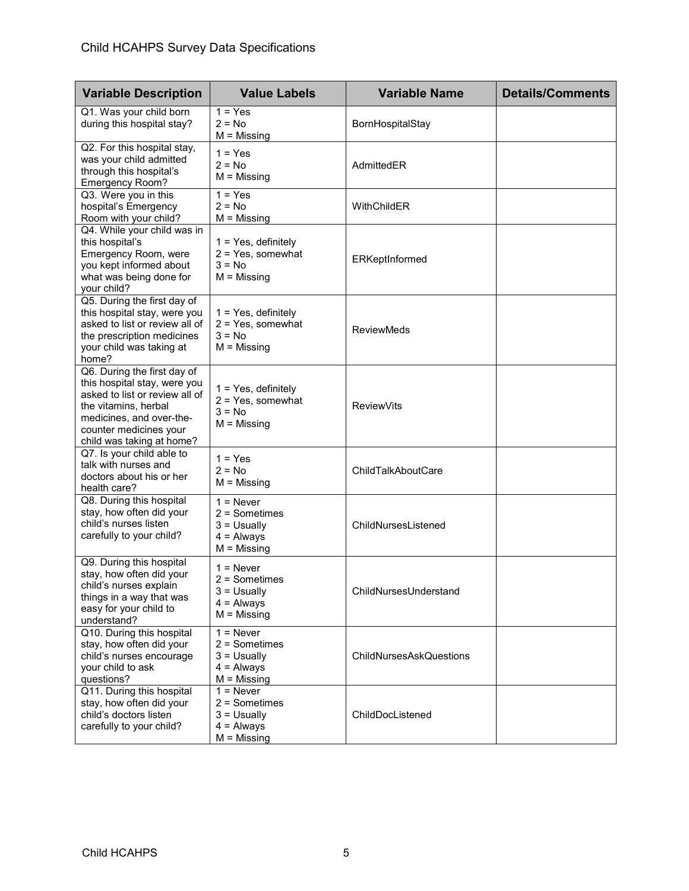| <b>Variable Description</b>                                                                                                                                                                              | <b>Value Labels</b>                                                               | <b>Variable Name</b>           | <b>Details/Comments</b> |
|----------------------------------------------------------------------------------------------------------------------------------------------------------------------------------------------------------|-----------------------------------------------------------------------------------|--------------------------------|-------------------------|
| Q1. Was your child born<br>during this hospital stay?                                                                                                                                                    | $1 = Yes$<br>$2 = No$<br>$M =$ Missing                                            | BornHospitalStay               |                         |
| Q2. For this hospital stay,<br>was your child admitted<br>through this hospital's<br>Emergency Room?                                                                                                     | $1 = Yes$<br>$2 = No$<br>$M =$ Missing                                            | AdmittedER                     |                         |
| Q3. Were you in this<br>hospital's Emergency<br>Room with your child?                                                                                                                                    | $1 = Yes$<br>$2 = No$<br>$M =$ Missing                                            | WithChildER                    |                         |
| Q4. While your child was in<br>this hospital's<br>Emergency Room, were<br>you kept informed about<br>what was being done for<br>your child?                                                              | 1 = Yes, definitely<br>$2 = Yes$ , somewhat<br>$3 = No$<br>$M =$ Missing          | ERKeptInformed                 |                         |
| Q5. During the first day of<br>this hospital stay, were you<br>asked to list or review all of<br>the prescription medicines<br>your child was taking at<br>home?                                         | $1 = Yes$ , definitely<br>$2 = Yes$ , somewhat<br>$3 = No$<br>$M = M$ issing      | <b>ReviewMeds</b>              |                         |
| Q6. During the first day of<br>this hospital stay, were you<br>asked to list or review all of<br>the vitamins, herbal<br>medicines, and over-the-<br>counter medicines your<br>child was taking at home? | $1 = Yes$ , definitely<br>$2 = Yes$ , somewhat<br>$3 = No$<br>$M =$ Missing       | <b>ReviewVits</b>              |                         |
| Q7. Is your child able to<br>talk with nurses and<br>doctors about his or her<br>health care?                                                                                                            | $1 = Yes$<br>$2 = No$<br>$M =$ Missing                                            | ChildTalkAboutCare             |                         |
| Q8. During this hospital<br>stay, how often did your<br>child's nurses listen<br>carefully to your child?                                                                                                | $1 =$ Never<br>$2 =$ Sometimes<br>$3 =$ Usually<br>$4 =$ Always<br>$M = M$ issing | ChildNursesListened            |                         |
| Q9. During this hospital<br>stay, how often did your<br>child's nurses explain<br>things in a way that was<br>easy for your child to<br>understand?                                                      | $1 =$ Never<br>$2 =$ Sometimes<br>$3 =$ Usually<br>$4 =$ Always<br>$M =$ Missing  | ChildNursesUnderstand          |                         |
| Q10. During this hospital<br>stay, how often did your<br>child's nurses encourage<br>your child to ask<br>questions?                                                                                     | $1 =$ Never<br>2 = Sometimes<br>$3 =$ Usually<br>$4 =$ Always<br>$M =$ Missing    | <b>ChildNursesAskQuestions</b> |                         |
| Q11. During this hospital<br>stay, how often did your<br>child's doctors listen<br>carefully to your child?                                                                                              | $1 =$ Never<br>$2 =$ Sometimes<br>$3 =$ Usually<br>$4 =$ Always<br>$M =$ Missing  | ChildDocListened               |                         |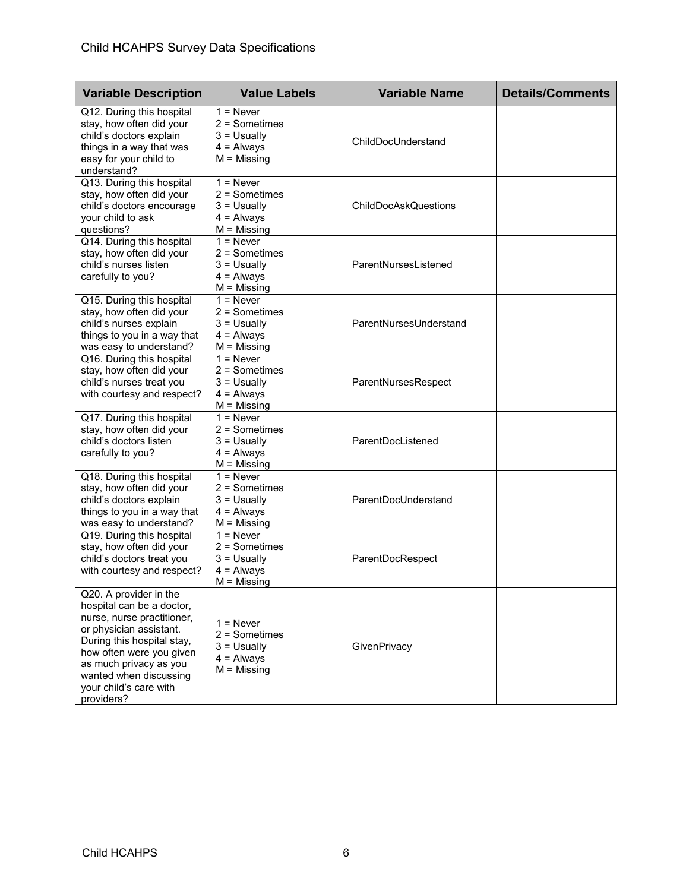| <b>Variable Description</b>                                                                                                                                                                                                                                        | <b>Value Labels</b>                                                                | <b>Variable Name</b>        | <b>Details/Comments</b> |
|--------------------------------------------------------------------------------------------------------------------------------------------------------------------------------------------------------------------------------------------------------------------|------------------------------------------------------------------------------------|-----------------------------|-------------------------|
| Q12. During this hospital<br>stay, how often did your<br>child's doctors explain<br>things in a way that was<br>easy for your child to<br>understand?                                                                                                              | $1 =$ Never<br>$2 =$ Sometimes<br>$3 =$ Usually<br>$4 =$ Always<br>$M = M$ issing  | ChildDocUnderstand          |                         |
| Q13. During this hospital<br>stay, how often did your<br>child's doctors encourage<br>your child to ask<br>questions?                                                                                                                                              | $1 =$ Never<br>$2 =$ Sometimes<br>$3 = U$ sually<br>$4 =$ Always<br>$M = M$ issing | <b>ChildDocAskQuestions</b> |                         |
| Q14. During this hospital<br>stay, how often did your<br>child's nurses listen<br>carefully to you?                                                                                                                                                                | $1 =$ Never<br>2 = Sometimes<br>$3 =$ Usually<br>$4 =$ Always<br>$M = M$ issing    | ParentNursesListened        |                         |
| Q15. During this hospital<br>stay, how often did your<br>child's nurses explain<br>things to you in a way that<br>was easy to understand?                                                                                                                          | $1 =$ Never<br>2 = Sometimes<br>$3 =$ Usually<br>$4 =$ Always<br>$M = M$ issing    | ParentNursesUnderstand      |                         |
| Q16. During this hospital<br>stay, how often did your<br>child's nurses treat you<br>with courtesy and respect?                                                                                                                                                    | $1 =$ Never<br>2 = Sometimes<br>$3 =$ Usually<br>$4 =$ Always<br>$M = M$ issing    | ParentNursesRespect         |                         |
| Q17. During this hospital<br>stay, how often did your<br>child's doctors listen<br>carefully to you?                                                                                                                                                               | $1 =$ Never<br>2 = Sometimes<br>$3 =$ Usually<br>$4 =$ Always<br>$M = M$ issing    | ParentDocListened           |                         |
| Q18. During this hospital<br>stay, how often did your<br>child's doctors explain<br>things to you in a way that<br>was easy to understand?                                                                                                                         | $1 =$ Never<br>$2 =$ Sometimes<br>$3 =$ Usually<br>$4 =$ Always<br>$M = M$ issing  | ParentDocUnderstand         |                         |
| Q19. During this hospital<br>stay, how often did your<br>child's doctors treat you<br>with courtesy and respect?                                                                                                                                                   | $1 =$ Never<br>2 = Sometimes<br>$3 =$ Usually<br>$4 =$ Always<br>$M = M$ issing    | ParentDocRespect            |                         |
| Q20. A provider in the<br>hospital can be a doctor,<br>nurse, nurse practitioner,<br>or physician assistant.<br>During this hospital stay,<br>how often were you given<br>as much privacy as you<br>wanted when discussing<br>your child's care with<br>providers? | $1 =$ Never<br>$2 =$ Sometimes<br>$3 =$ Usually<br>$4 =$ Always<br>$M =$ Missing   | GivenPrivacy                |                         |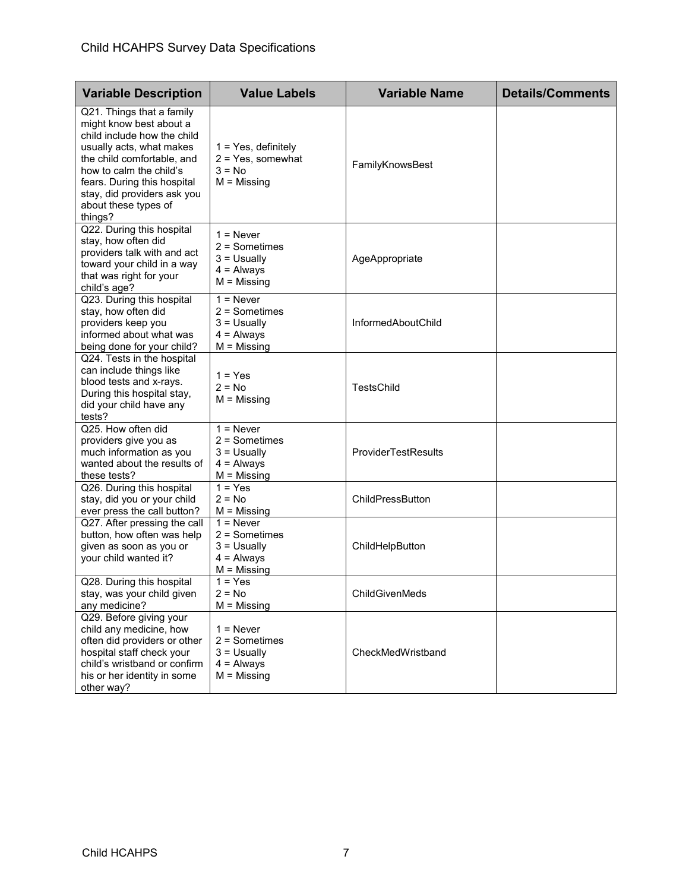| <b>Variable Description</b>                                                                                                                                                                                                                                               | <b>Value Labels</b>                                                               | <b>Variable Name</b>       | <b>Details/Comments</b> |
|---------------------------------------------------------------------------------------------------------------------------------------------------------------------------------------------------------------------------------------------------------------------------|-----------------------------------------------------------------------------------|----------------------------|-------------------------|
| Q21. Things that a family<br>might know best about a<br>child include how the child<br>usually acts, what makes<br>the child comfortable, and<br>how to calm the child's<br>fears. During this hospital<br>stay, did providers ask you<br>about these types of<br>things? | $1 = Yes$ , definitely<br>$2 = Yes$ , somewhat<br>$3 = No$<br>$M = M$ issing      | FamilyKnowsBest            |                         |
| Q22. During this hospital<br>stay, how often did<br>providers talk with and act<br>toward your child in a way<br>that was right for your<br>child's age?                                                                                                                  | $1 =$ Never<br>$2 =$ Sometimes<br>$3 =$ Usually<br>$4 =$ Always<br>$M = M$ issing | AgeAppropriate             |                         |
| Q23. During this hospital<br>stay, how often did<br>providers keep you<br>informed about what was<br>being done for your child?                                                                                                                                           | $1 =$ Never<br>$2 =$ Sometimes<br>$3 =$ Usually<br>$4 =$ Always<br>$M = M$ issing | InformedAboutChild         |                         |
| Q24. Tests in the hospital<br>can include things like<br>blood tests and x-rays.<br>During this hospital stay,<br>did your child have any<br>tests?                                                                                                                       | $1 = Yes$<br>$2 = No$<br>$M =$ Missing                                            | <b>TestsChild</b>          |                         |
| Q25. How often did<br>providers give you as<br>much information as you<br>wanted about the results of<br>these tests?                                                                                                                                                     | $1 =$ Never<br>$2 =$ Sometimes<br>$3 =$ Usually<br>$4 =$ Always<br>$M = M$ issing | <b>ProviderTestResults</b> |                         |
| Q26. During this hospital<br>stay, did you or your child<br>ever press the call button?                                                                                                                                                                                   | $1 = Yes$<br>$2 = No$<br>$M =$ Missing                                            | ChildPressButton           |                         |
| Q27. After pressing the call<br>button, how often was help<br>given as soon as you or<br>your child wanted it?                                                                                                                                                            | $1 =$ Never<br>$2 =$ Sometimes<br>$3 =$ Usually<br>$4 =$ Always<br>$M = M$ issing | ChildHelpButton            |                         |
| Q28. During this hospital<br>stay, was your child given<br>any medicine?                                                                                                                                                                                                  | $1 = Yes$<br>$2 = No$<br>$M =$ Missing                                            | ChildGivenMeds             |                         |
| Q29. Before giving your<br>child any medicine, how<br>often did providers or other<br>hospital staff check your<br>child's wristband or confirm<br>his or her identity in some<br>other way?                                                                              | $1 =$ Never<br>$2 =$ Sometimes<br>$3 =$ Usually<br>$4 =$ Always<br>$M =$ Missing  | CheckMedWristband          |                         |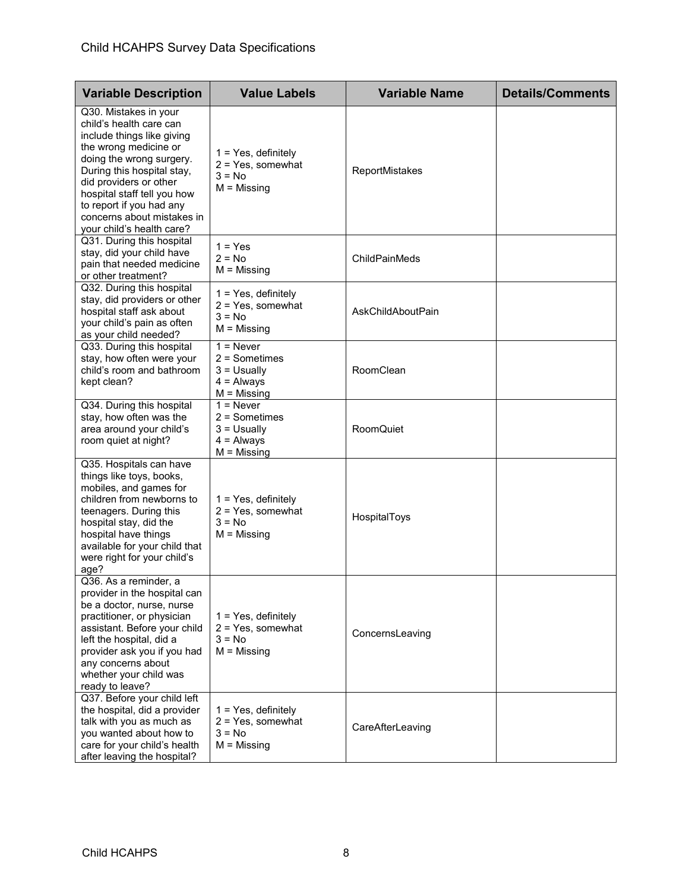| <b>Variable Description</b>                                                                                                                                                                                                                                                                                       | <b>Value Labels</b>                                                               | <b>Variable Name</b> | <b>Details/Comments</b> |
|-------------------------------------------------------------------------------------------------------------------------------------------------------------------------------------------------------------------------------------------------------------------------------------------------------------------|-----------------------------------------------------------------------------------|----------------------|-------------------------|
| Q30. Mistakes in your<br>child's health care can<br>include things like giving<br>the wrong medicine or<br>doing the wrong surgery.<br>During this hospital stay,<br>did providers or other<br>hospital staff tell you how<br>to report if you had any<br>concerns about mistakes in<br>your child's health care? | $1 = Yes$ , definitely<br>$2 = Yes$ , somewhat<br>$3 = No$<br>$M = M$ issing      | ReportMistakes       |                         |
| Q31. During this hospital<br>stay, did your child have<br>pain that needed medicine<br>or other treatment?                                                                                                                                                                                                        | $1 = Yes$<br>$2 = No$<br>$M = M$ issing                                           | ChildPainMeds        |                         |
| Q32. During this hospital<br>stay, did providers or other<br>hospital staff ask about<br>your child's pain as often<br>as your child needed?                                                                                                                                                                      | $1 = Yes$ , definitely<br>2 = Yes, somewhat<br>$3 = No$<br>$M =$ Missing          | AskChildAboutPain    |                         |
| Q33. During this hospital<br>stay, how often were your<br>child's room and bathroom<br>kept clean?                                                                                                                                                                                                                | $1 =$ Never<br>$2 =$ Sometimes<br>$3 =$ Usually<br>$4 =$ Always<br>$M =$ Missing  | RoomClean            |                         |
| Q34. During this hospital<br>stay, how often was the<br>area around your child's<br>room quiet at night?                                                                                                                                                                                                          | $1 =$ Never<br>$2 =$ Sometimes<br>$3 =$ Usually<br>$4 =$ Always<br>$M = M$ issing | RoomQuiet            |                         |
| Q35. Hospitals can have<br>things like toys, books,<br>mobiles, and games for<br>children from newborns to<br>teenagers. During this<br>hospital stay, did the<br>hospital have things<br>available for your child that<br>were right for your child's<br>age?                                                    | $1 = Yes$ , definitely<br>$2 = Yes$ , somewhat<br>$3 = No$<br>$M =$ Missing       | HospitalToys         |                         |
| Q36. As a reminder, a<br>provider in the hospital can<br>be a doctor, nurse, nurse<br>practitioner, or physician<br>assistant. Before your child<br>left the hospital, did a<br>provider ask you if you had<br>any concerns about<br>whether your child was<br>ready to leave?                                    | $1 = Yes$ , definitely<br>$2 = Yes$ , somewhat<br>$3 = No$<br>$M =$ Missing       | ConcernsLeaving      |                         |
| Q37. Before your child left<br>the hospital, did a provider<br>talk with you as much as<br>you wanted about how to<br>care for your child's health<br>after leaving the hospital?                                                                                                                                 | 1 = Yes, definitely<br>$2 = Yes$ , somewhat<br>$3 = No$<br>$M =$ Missing          | CareAfterLeaving     |                         |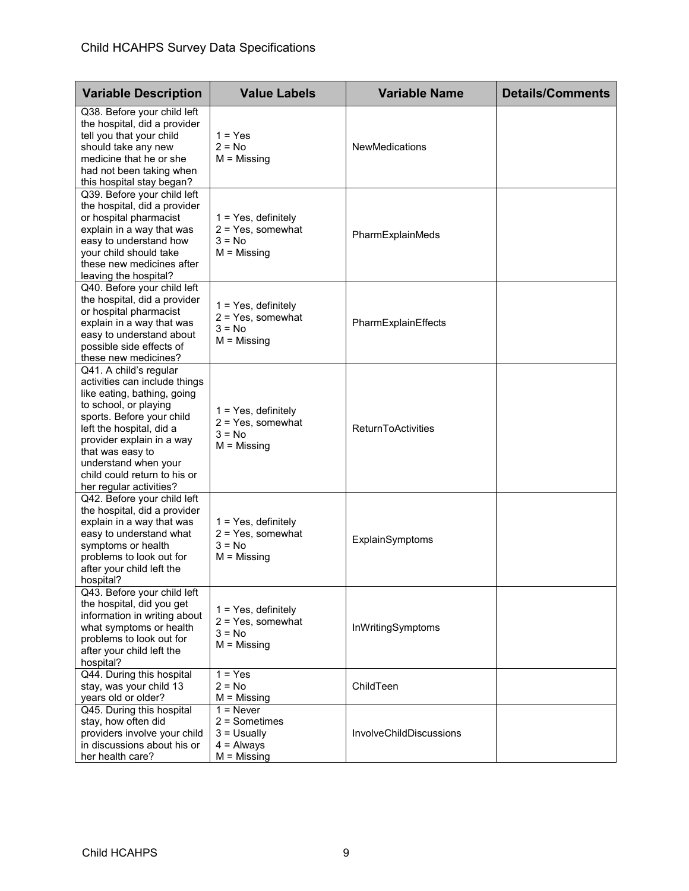| <b>Variable Description</b>                                                                                                                                                                                                                                                                                  | <b>Value Labels</b>                                                               | <b>Variable Name</b>      | <b>Details/Comments</b> |
|--------------------------------------------------------------------------------------------------------------------------------------------------------------------------------------------------------------------------------------------------------------------------------------------------------------|-----------------------------------------------------------------------------------|---------------------------|-------------------------|
| Q38. Before your child left<br>the hospital, did a provider<br>tell you that your child<br>should take any new<br>medicine that he or she<br>had not been taking when<br>this hospital stay began?                                                                                                           | $1 = Yes$<br>$2 = No$<br>$M = M$ issing                                           | <b>NewMedications</b>     |                         |
| Q39. Before your child left<br>the hospital, did a provider<br>or hospital pharmacist<br>explain in a way that was<br>easy to understand how<br>your child should take<br>these new medicines after<br>leaving the hospital?                                                                                 | $1 = Yes$ , definitely<br>$2 = Yes$ , somewhat<br>$3 = No$<br>$M = M$ issing      | PharmExplainMeds          |                         |
| Q40. Before your child left<br>the hospital, did a provider<br>or hospital pharmacist<br>explain in a way that was<br>easy to understand about<br>possible side effects of<br>these new medicines?                                                                                                           | $1 = Yes$ , definitely<br>$2 = Yes$ , somewhat<br>$3 = No$<br>$M =$ Missing       | PharmExplainEffects       |                         |
| Q41. A child's regular<br>activities can include things<br>like eating, bathing, going<br>to school, or playing<br>sports. Before your child<br>left the hospital, did a<br>provider explain in a way<br>that was easy to<br>understand when your<br>child could return to his or<br>her regular activities? | $1 = Yes$ , definitely<br>$2 = Yes$ , somewhat<br>$3 = No$<br>$M =$ Missing       | <b>ReturnToActivities</b> |                         |
| Q42. Before your child left<br>the hospital, did a provider<br>explain in a way that was<br>easy to understand what<br>symptoms or health<br>problems to look out for<br>after your child left the<br>hospital?                                                                                              | $1 = Yes$ , definitely<br>$2 = Yes$ , somewhat<br>$3 = No$<br>$M =$ Missing       | ExplainSymptoms           |                         |
| Q43. Before your child left<br>the hospital, did you get<br>information in writing about<br>what symptoms or health<br>problems to look out for<br>after your child left the<br>hospital?                                                                                                                    | 1 = Yes, definitely<br>$2 = Yes$ , somewhat<br>$3 = No$<br>$M = M$ issing         | InWritingSymptoms         |                         |
| Q44. During this hospital<br>stay, was your child 13<br>years old or older?                                                                                                                                                                                                                                  | $1 = Yes$<br>$2 = No$<br>$M = M$ issing                                           | ChildTeen                 |                         |
| Q45. During this hospital<br>stay, how often did<br>providers involve your child<br>in discussions about his or<br>her health care?                                                                                                                                                                          | $1 =$ Never<br>$2 =$ Sometimes<br>$3 = U$ sually<br>$4 =$ Always<br>$M =$ Missing | InvolveChildDiscussions   |                         |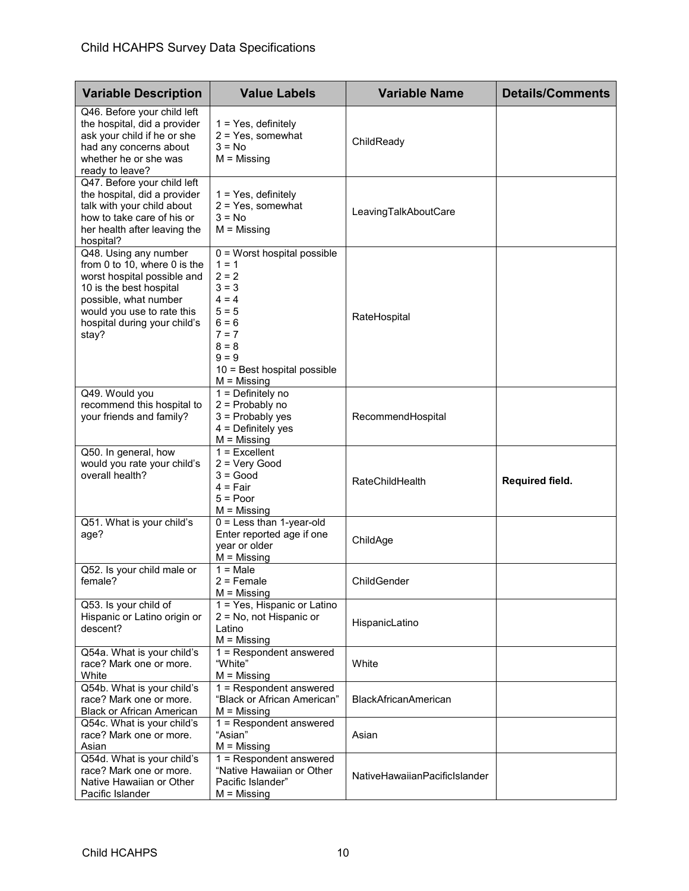| <b>Variable Description</b>                                                                                                                                                                                     | <b>Value Labels</b>                                                                                                                                                              | <b>Variable Name</b>          | <b>Details/Comments</b> |
|-----------------------------------------------------------------------------------------------------------------------------------------------------------------------------------------------------------------|----------------------------------------------------------------------------------------------------------------------------------------------------------------------------------|-------------------------------|-------------------------|
| Q46. Before your child left<br>the hospital, did a provider<br>ask your child if he or she<br>had any concerns about<br>whether he or she was<br>ready to leave?                                                | $1 = Yes$ , definitely<br>$2 = Yes$ , somewhat<br>$3 = No$<br>$M = M$ issing                                                                                                     | ChildReady                    |                         |
| Q47. Before your child left<br>the hospital, did a provider<br>talk with your child about<br>how to take care of his or<br>her health after leaving the<br>hospital?                                            | 1 = Yes, definitely<br>$2 = Yes$ , somewhat<br>$3 = No$<br>$M =$ Missing                                                                                                         | LeavingTalkAboutCare          |                         |
| Q48. Using any number<br>from 0 to 10, where 0 is the<br>worst hospital possible and<br>10 is the best hospital<br>possible, what number<br>would you use to rate this<br>hospital during your child's<br>stay? | $0 =$ Worst hospital possible<br>$1 = 1$<br>$2 = 2$<br>$3 = 3$<br>$4 = 4$<br>$5 = 5$<br>$6 = 6$<br>$7 = 7$<br>$8 = 8$<br>$9 = 9$<br>10 = Best hospital possible<br>$M =$ Missing | RateHospital                  |                         |
| Q49. Would you<br>recommend this hospital to<br>your friends and family?                                                                                                                                        | $1 =$ Definitely no<br>$2$ = Probably no<br>$3$ = Probably yes<br>$4 =$ Definitely yes<br>$M =$ Missing                                                                          | RecommendHospital             |                         |
| Q50. In general, how<br>would you rate your child's<br>overall health?                                                                                                                                          | $1 =$ Excellent<br>$2 = Very Good$<br>$3 = Good$<br>4 = Fair<br>$5 = Poor$<br>$M =$ Missing                                                                                      | <b>RateChildHealth</b>        | Required field.         |
| Q51. What is your child's<br>age?                                                                                                                                                                               | $0 =$ Less than 1-year-old<br>Enter reported age if one<br>year or older<br>$M = M$ issing                                                                                       | ChildAge                      |                         |
| Q52. Is your child male or<br>female?                                                                                                                                                                           | $1 = Male$<br>$2$ = Female<br>$M = M$ issing                                                                                                                                     | ChildGender                   |                         |
| Q53. Is your child of<br>Hispanic or Latino origin or<br>descent?                                                                                                                                               | 1 = Yes, Hispanic or Latino<br>2 = No, not Hispanic or<br>Latino<br>$M = M$ issing                                                                                               | HispanicLatino                |                         |
| Q54a. What is your child's<br>race? Mark one or more.<br>White                                                                                                                                                  | $1 =$ Respondent answered<br>"White"<br>$M = M$ issing                                                                                                                           | White                         |                         |
| Q54b. What is your child's<br>race? Mark one or more.<br><b>Black or African American</b>                                                                                                                       | 1 = Respondent answered<br>"Black or African American"<br>$M =$ Missing                                                                                                          | <b>BlackAfricanAmerican</b>   |                         |
| Q54c. What is your child's<br>race? Mark one or more.<br>Asian                                                                                                                                                  | 1 = Respondent answered<br>"Asian"<br>$M = M$ issing                                                                                                                             | Asian                         |                         |
| Q54d. What is your child's<br>race? Mark one or more.<br>Native Hawaiian or Other<br>Pacific Islander                                                                                                           | 1 = Respondent answered<br>"Native Hawaiian or Other<br>Pacific Islander"<br>$M =$ Missing                                                                                       | NativeHawaiianPacificIslander |                         |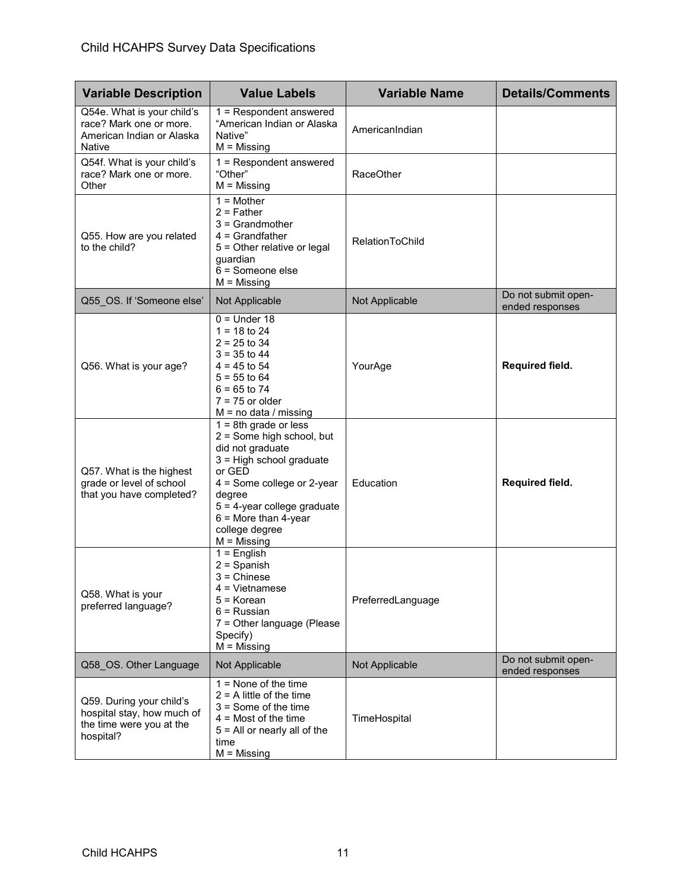| <b>Variable Description</b>                                                                     | <b>Value Labels</b>                                                                                                                                                                                                                                | <b>Variable Name</b>   | <b>Details/Comments</b>                |
|-------------------------------------------------------------------------------------------------|----------------------------------------------------------------------------------------------------------------------------------------------------------------------------------------------------------------------------------------------------|------------------------|----------------------------------------|
| Q54e. What is your child's<br>race? Mark one or more.<br>American Indian or Alaska<br>Native    | $1 =$ Respondent answered<br>"American Indian or Alaska<br>Native"<br>$M = M$ issing                                                                                                                                                               | AmericanIndian         |                                        |
| Q54f. What is your child's<br>race? Mark one or more.<br>Other                                  | 1 = Respondent answered<br>"Other"<br>$M =$ Missing                                                                                                                                                                                                | <b>RaceOther</b>       |                                        |
| Q55. How are you related<br>to the child?                                                       | $1 = Mother$<br>$2$ = Father<br>$3 =$ Grandmother<br>$4 =$ Grandfather<br>5 = Other relative or legal<br>guardian<br>$6 =$ Someone else<br>$M = M$ issing                                                                                          | <b>RelationToChild</b> |                                        |
| Q55_OS. If 'Someone else'                                                                       | Not Applicable                                                                                                                                                                                                                                     | Not Applicable         | Do not submit open-<br>ended responses |
| Q56. What is your age?                                                                          | $0 =$ Under 18<br>$1 = 18$ to 24<br>$2 = 25$ to 34<br>$3 = 35$ to 44<br>$4 = 45$ to 54<br>$5 = 55$ to 64<br>$6 = 65$ to 74<br>$7 = 75$ or older<br>$M = no$ data / missing                                                                         | YourAge                | Required field.                        |
| Q57. What is the highest<br>grade or level of school<br>that you have completed?                | $1 = 8th$ grade or less<br>2 = Some high school, but<br>did not graduate<br>3 = High school graduate<br>or GED<br>4 = Some college or 2-year<br>degree<br>5 = 4-year college graduate<br>$6$ = More than 4-year<br>college degree<br>$M =$ Missing | Education              | Required field.                        |
| Q58. What is your<br>preferred language?                                                        | $1 =$ English<br>$2 =$ Spanish<br>$3 =$ Chinese<br>$4 =$ Vietnamese<br>5 = Korean<br>$6$ = Russian<br>7 = Other language (Please<br>Specify)<br>$M =$ Missing                                                                                      | PreferredLanguage      |                                        |
| Q58_OS. Other Language                                                                          | Not Applicable                                                                                                                                                                                                                                     | Not Applicable         | Do not submit open-<br>ended responses |
| Q59. During your child's<br>hospital stay, how much of<br>the time were you at the<br>hospital? | $1 =$ None of the time<br>$2 = A$ little of the time<br>$3 =$ Some of the time<br>$4 =$ Most of the time<br>$5 =$ All or nearly all of the<br>time<br>$M = M$ issing                                                                               | TimeHospital           |                                        |